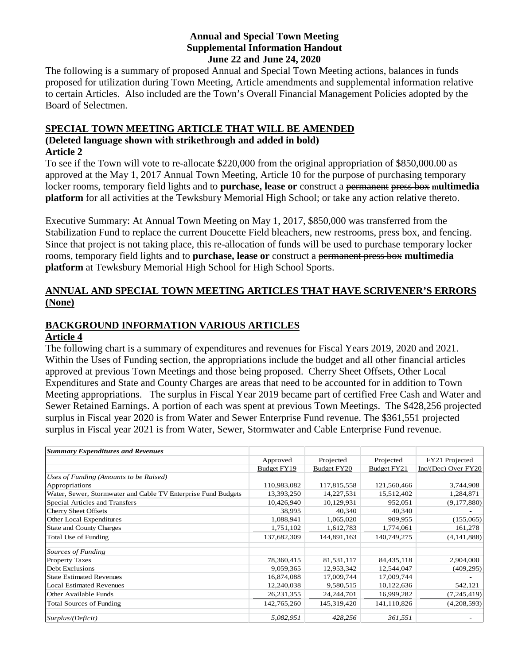#### **Annual and Special Town Meeting Supplemental Information Handout June 22 and June 24, 2020**

The following is a summary of proposed Annual and Special Town Meeting actions, balances in funds proposed for utilization during Town Meeting, Article amendments and supplemental information relative to certain Articles. Also included are the Town's Overall Financial Management Policies adopted by the Board of Selectmen.

## **SPECIAL TOWN MEETING ARTICLE THAT WILL BE AMENDED (Deleted language shown with strikethrough and added in bold)**

#### **Article 2**

To see if the Town will vote to re-allocate \$220,000 from the original appropriation of \$850,000.00 as approved at the May 1, 2017 Annual Town Meeting, Article 10 for the purpose of purchasing temporary locker rooms, temporary field lights and to **purchase, lease or** construct a permanent press box **multimedia platform** for all activities at the Tewksbury Memorial High School; or take any action relative thereto.

Executive Summary: At Annual Town Meeting on May 1, 2017, \$850,000 was transferred from the Stabilization Fund to replace the current Doucette Field bleachers, new restrooms, press box, and fencing. Since that project is not taking place, this re-allocation of funds will be used to purchase temporary locker rooms, temporary field lights and to **purchase, lease or** construct a permanent press box **multimedia platform** at Tewksbury Memorial High School for High School Sports.

### **ANNUAL AND SPECIAL TOWN MEETING ARTICLES THAT HAVE SCRIVENER'S ERRORS (None)**

# **BACKGROUND INFORMATION VARIOUS ARTICLES**

#### **Article 4**

The following chart is a summary of expenditures and revenues for Fiscal Years 2019, 2020 and 2021. Within the Uses of Funding section, the appropriations include the budget and all other financial articles approved at previous Town Meetings and those being proposed. Cherry Sheet Offsets, Other Local Expenditures and State and County Charges are areas that need to be accounted for in addition to Town Meeting appropriations. The surplus in Fiscal Year 2019 became part of certified Free Cash and Water and Sewer Retained Earnings. A portion of each was spent at previous Town Meetings. The \$428,256 projected surplus in Fiscal year 2020 is from Water and Sewer Enterprise Fund revenue. The \$361,551 projected surplus in Fiscal year 2021 is from Water, Sewer, Stormwater and Cable Enterprise Fund revenue.

| <b>Summary Expenditures and Revenues</b>                      |              |              |              |                         |
|---------------------------------------------------------------|--------------|--------------|--------------|-------------------------|
|                                                               | Approved     | Projected    | Projected    | FY21 Projected          |
|                                                               | Budget FY19  | Budget FY20  | Budget FY21  | $Inc/(Dec)$ Over $FY20$ |
| Uses of Funding (Amounts to be Raised)                        |              |              |              |                         |
| Appropriations                                                | 110,983,082  | 117,815,558  | 121,560,466  | 3,744,908               |
| Water, Sewer, Stormwater and Cable TV Enterprise Fund Budgets | 13,393,250   | 14,227,531   | 15,512,402   | 1,284,871               |
| Special Articles and Transfers                                | 10,426,940   | 10,129,931   | 952,051      | (9,177,880)             |
| Cherry Sheet Offsets                                          | 38,995       | 40,340       | 40,340       |                         |
| Other Local Expenditures                                      | 1,088,941    | 1,065,020    | 909,955      | (155,065)               |
| <b>State and County Charges</b>                               | 1,751,102    | 1,612,783    | 1,774,061    | 161,278                 |
| Total Use of Funding                                          | 137,682,309  | 144,891,163  | 140,749,275  | (4, 141, 888)           |
| Sources of Funding                                            |              |              |              |                         |
| <b>Property Taxes</b>                                         | 78,360,415   | 81,531,117   | 84, 435, 118 | 2,904,000               |
| Debt Exclusions                                               | 9,059,365    | 12,953,342   | 12,544,047   | (409, 295)              |
| <b>State Estimated Revenues</b>                               | 16,874,088   | 17,009,744   | 17,009,744   |                         |
| <b>Local Estimated Revenues</b>                               | 12,240,038   | 9,580,515    | 10,122,636   | 542,121                 |
| Other Available Funds                                         | 26, 231, 355 | 24, 244, 701 | 16,999,282   | (7,245,419)             |
| <b>Total Sources of Funding</b>                               | 142,765,260  | 145,319,420  | 141,110,826  | (4,208,593)             |
| Surplus/(Deficit)                                             | 5,082,951    | 428,256      | 361,551      |                         |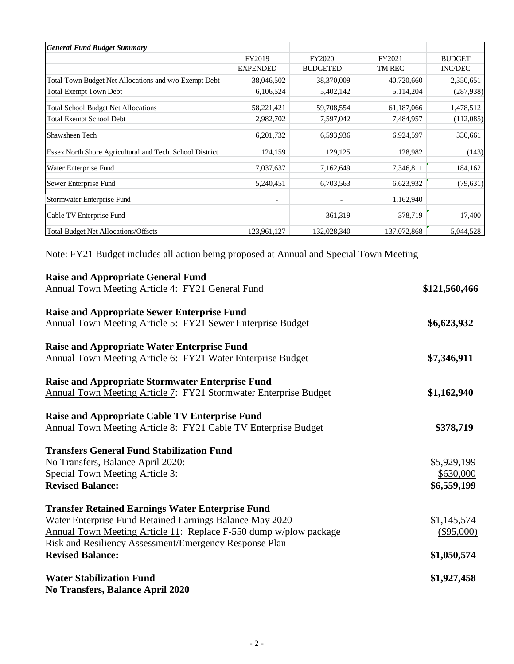| <b>General Fund Budget Summary</b>                       |                          |                          |             |                |
|----------------------------------------------------------|--------------------------|--------------------------|-------------|----------------|
|                                                          | FY2019                   | FY2020                   | FY2021      | <b>BUDGET</b>  |
|                                                          | <b>EXPENDED</b>          | <b>BUDGETED</b>          | TM REC      | <b>INC/DEC</b> |
| Total Town Budget Net Allocations and w/o Exempt Debt    | 38,046,502               | 38,370,009               | 40,720,660  | 2,350,651      |
| <b>Total Exempt Town Debt</b>                            | 6,106,524                | 5,402,142                | 5,114,204   | (287, 938)     |
| <b>Total School Budget Net Allocations</b>               | 58,221,421               | 59,708,554               | 61,187,066  | 1,478,512      |
| <b>Total Exempt School Debt</b>                          | 2,982,702                | 7,597,042                | 7,484,957   | (112,085)      |
| Shawsheen Tech                                           | 6, 201, 732              | 6,593,936                | 6,924,597   | 330,661        |
| Essex North Shore Agricultural and Tech. School District | 124,159                  | 129,125                  | 128,982     | (143)          |
| Water Enterprise Fund                                    | 7,037,637                | 7,162,649                | 7,346,811   | 184,162        |
| Sewer Enterprise Fund                                    | 5,240,451                | 6,703,563                | 6,623,932   | (79, 631)      |
| Stormwater Enterprise Fund                               | $\overline{\phantom{0}}$ | $\overline{\phantom{a}}$ | 1,162,940   |                |
| Cable TV Enterprise Fund                                 | $\overline{\phantom{a}}$ | 361,319                  | 378,719     | 17,400         |
| <b>Total Budget Net Allocations/Offsets</b>              | 123,961,127              | 132,028,340              | 137,072,868 | 5,044,528      |

Note: FY21 Budget includes all action being proposed at Annual and Special Town Meeting

| <b>Raise and Appropriate General Fund</b>                          |               |
|--------------------------------------------------------------------|---------------|
| Annual Town Meeting Article 4: FY21 General Fund                   | \$121,560,466 |
| <b>Raise and Appropriate Sewer Enterprise Fund</b>                 |               |
| <b>Annual Town Meeting Article 5: FY21 Sewer Enterprise Budget</b> | \$6,623,932   |
| <b>Raise and Appropriate Water Enterprise Fund</b>                 |               |
| Annual Town Meeting Article 6: FY21 Water Enterprise Budget        | \$7,346,911   |
| <b>Raise and Appropriate Stormwater Enterprise Fund</b>            |               |
| Annual Town Meeting Article 7: FY21 Stormwater Enterprise Budget   | \$1,162,940   |
| <b>Raise and Appropriate Cable TV Enterprise Fund</b>              |               |
| Annual Town Meeting Article 8: FY21 Cable TV Enterprise Budget     | \$378,719     |
| <b>Transfers General Fund Stabilization Fund</b>                   |               |
| No Transfers, Balance April 2020:                                  | \$5,929,199   |
| Special Town Meeting Article 3:                                    | \$630,000     |
| <b>Revised Balance:</b>                                            | \$6,559,199   |
| <b>Transfer Retained Earnings Water Enterprise Fund</b>            |               |
| Water Enterprise Fund Retained Earnings Balance May 2020           | \$1,145,574   |
| Annual Town Meeting Article 11: Replace F-550 dump w/plow package  | $(\$95,000)$  |
| Risk and Resiliency Assessment/Emergency Response Plan             |               |
| <b>Revised Balance:</b>                                            | \$1,050,574   |
| <b>Water Stabilization Fund</b>                                    | \$1,927,458   |
| <b>No Transfers, Balance April 2020</b>                            |               |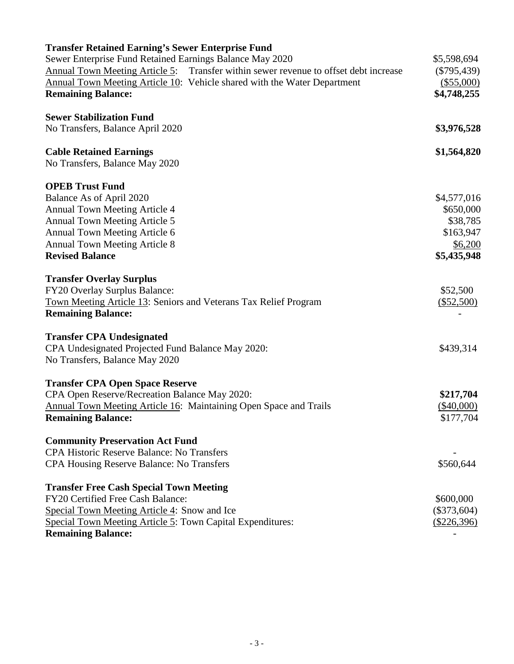| <b>Transfer Retained Earning's Sewer Enterprise Fund</b>                                    |               |
|---------------------------------------------------------------------------------------------|---------------|
| Sewer Enterprise Fund Retained Earnings Balance May 2020                                    | \$5,598,694   |
| Annual Town Meeting Article 5: Transfer within sewer revenue to offset debt increase        | $(\$795,439)$ |
| Annual Town Meeting Article 10: Vehicle shared with the Water Department                    | (\$55,000)    |
| <b>Remaining Balance:</b>                                                                   | \$4,748,255   |
| <b>Sewer Stabilization Fund</b>                                                             |               |
|                                                                                             |               |
| No Transfers, Balance April 2020                                                            | \$3,976,528   |
| <b>Cable Retained Earnings</b>                                                              | \$1,564,820   |
| No Transfers, Balance May 2020                                                              |               |
| <b>OPEB Trust Fund</b>                                                                      |               |
| Balance As of April 2020                                                                    | \$4,577,016   |
| <b>Annual Town Meeting Article 4</b>                                                        | \$650,000     |
| <b>Annual Town Meeting Article 5</b>                                                        | \$38,785      |
| Annual Town Meeting Article 6                                                               | \$163,947     |
| <b>Annual Town Meeting Article 8</b>                                                        | \$6,200       |
| <b>Revised Balance</b>                                                                      | \$5,435,948   |
|                                                                                             |               |
| <b>Transfer Overlay Surplus</b>                                                             |               |
| FY20 Overlay Surplus Balance:                                                               | \$52,500      |
| Town Meeting Article 13: Seniors and Veterans Tax Relief Program                            | $(\$52,500)$  |
| <b>Remaining Balance:</b>                                                                   |               |
| <b>Transfer CPA Undesignated</b>                                                            |               |
| CPA Undesignated Projected Fund Balance May 2020:                                           | \$439,314     |
| No Transfers, Balance May 2020                                                              |               |
| <b>Transfer CPA Open Space Reserve</b>                                                      |               |
| CPA Open Reserve/Recreation Balance May 2020:                                               | \$217,704     |
| Annual Town Meeting Article 16: Maintaining Open Space and Trails                           | $(\$40,000)$  |
| <b>Remaining Balance:</b>                                                                   | \$177,704     |
|                                                                                             |               |
| <b>Community Preservation Act Fund</b><br><b>CPA Historic Reserve Balance: No Transfers</b> |               |
|                                                                                             |               |
| CPA Housing Reserve Balance: No Transfers                                                   | \$560,644     |
| <b>Transfer Free Cash Special Town Meeting</b>                                              |               |
| FY20 Certified Free Cash Balance:                                                           | \$600,000     |
| Special Town Meeting Article 4: Snow and Ice                                                | $(\$373,604)$ |
| Special Town Meeting Article 5: Town Capital Expenditures:                                  | $(\$226,396)$ |
| <b>Remaining Balance:</b>                                                                   |               |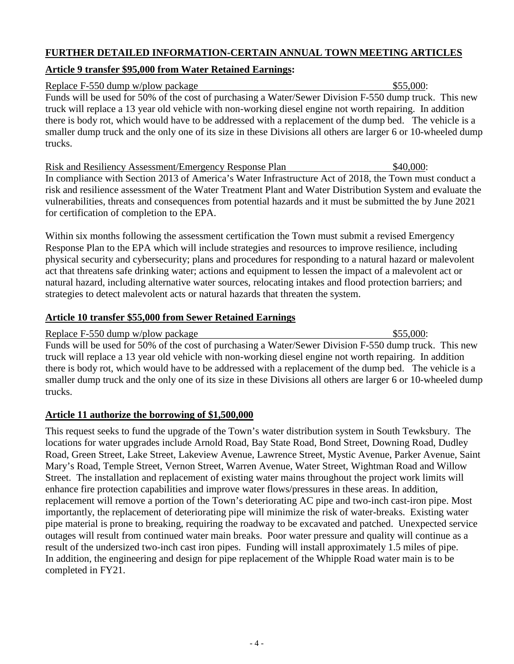#### **FURTHER DETAILED INFORMATION-CERTAIN ANNUAL TOWN MEETING ARTICLES**

## **Article 9 transfer \$95,000 from Water Retained Earnings:**

Replace F-550 dump w/plow package  $$55,000$ : Funds will be used for 50% of the cost of purchasing a Water/Sewer Division F-550 dump truck. This new truck will replace a 13 year old vehicle with non-working diesel engine not worth repairing. In addition there is body rot, which would have to be addressed with a replacement of the dump bed. The vehicle is a smaller dump truck and the only one of its size in these Divisions all others are larger 6 or 10-wheeled dump trucks.

Risk and Resiliency Assessment/Emergency Response Plan \$40,000: In compliance with Section 2013 of America's Water Infrastructure Act of 2018, the Town must conduct a risk and resilience assessment of the Water Treatment Plant and Water Distribution System and evaluate the vulnerabilities, threats and consequences from potential hazards and it must be submitted the by June 2021 for certification of completion to the EPA.

Within six months following the assessment certification the Town must submit a revised Emergency Response Plan to the EPA which will include strategies and resources to improve resilience, including physical security and cybersecurity; plans and procedures for responding to a natural hazard or malevolent act that threatens safe drinking water; actions and equipment to lessen the impact of a malevolent act or natural hazard, including alternative water sources, relocating intakes and flood protection barriers; and strategies to detect malevolent acts or natural hazards that threaten the system.

## **Article 10 transfer \$55,000 from Sewer Retained Earnings**

Replace F-550 dump w/plow package  $$55,000$ : Funds will be used for 50% of the cost of purchasing a Water/Sewer Division F-550 dump truck. This new truck will replace a 13 year old vehicle with non-working diesel engine not worth repairing. In addition there is body rot, which would have to be addressed with a replacement of the dump bed. The vehicle is a smaller dump truck and the only one of its size in these Divisions all others are larger 6 or 10-wheeled dump trucks.

## **Article 11 authorize the borrowing of \$1,500,000**

This request seeks to fund the upgrade of the Town's water distribution system in South Tewksbury. The locations for water upgrades include Arnold Road, Bay State Road, Bond Street, Downing Road, Dudley Road, Green Street, Lake Street, Lakeview Avenue, Lawrence Street, Mystic Avenue, Parker Avenue, Saint Mary's Road, Temple Street, Vernon Street, Warren Avenue, Water Street, Wightman Road and Willow Street. The installation and replacement of existing water mains throughout the project work limits will enhance fire protection capabilities and improve water flows/pressures in these areas. In addition, replacement will remove a portion of the Town's deteriorating AC pipe and two-inch cast-iron pipe. Most importantly, the replacement of deteriorating pipe will minimize the risk of water-breaks. Existing water pipe material is prone to breaking, requiring the roadway to be excavated and patched. Unexpected service outages will result from continued water main breaks. Poor water pressure and quality will continue as a result of the undersized two-inch cast iron pipes. Funding will install approximately 1.5 miles of pipe. In addition, the engineering and design for pipe replacement of the Whipple Road water main is to be completed in FY21.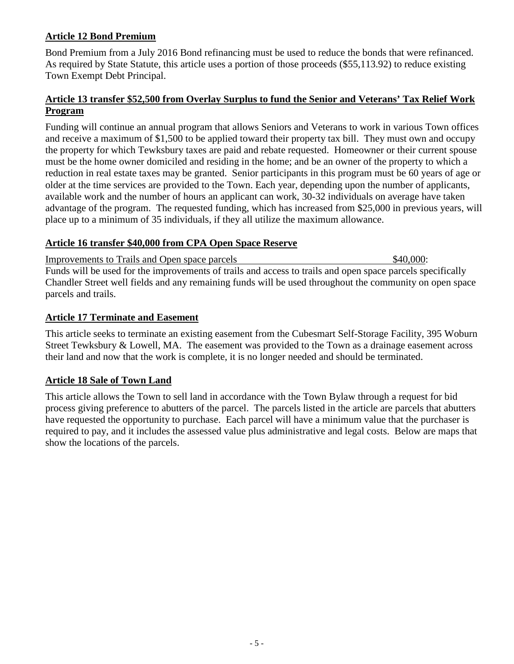## **Article 12 Bond Premium**

Bond Premium from a July 2016 Bond refinancing must be used to reduce the bonds that were refinanced. As required by State Statute, this article uses a portion of those proceeds (\$55,113.92) to reduce existing Town Exempt Debt Principal.

### **Article 13 transfer \$52,500 from Overlay Surplus to fund the Senior and Veterans' Tax Relief Work Program**

Funding will continue an annual program that allows Seniors and Veterans to work in various Town offices and receive a maximum of \$1,500 to be applied toward their property tax bill. They must own and occupy the property for which Tewksbury taxes are paid and rebate requested. Homeowner or their current spouse must be the home owner domiciled and residing in the home; and be an owner of the property to which a reduction in real estate taxes may be granted. Senior participants in this program must be 60 years of age or older at the time services are provided to the Town. Each year, depending upon the number of applicants, available work and the number of hours an applicant can work, 30-32 individuals on average have taken advantage of the program. The requested funding, which has increased from \$25,000 in previous years, will place up to a minimum of 35 individuals, if they all utilize the maximum allowance.

#### **Article 16 transfer \$40,000 from CPA Open Space Reserve**

Improvements to Trails and Open space parcels  $$40,000$ : Funds will be used for the improvements of trails and access to trails and open space parcels specifically Chandler Street well fields and any remaining funds will be used throughout the community on open space parcels and trails.

## **Article 17 Terminate and Easement**

This article seeks to terminate an existing easement from the Cubesmart Self-Storage Facility, 395 Woburn Street Tewksbury & Lowell, MA. The easement was provided to the Town as a drainage easement across their land and now that the work is complete, it is no longer needed and should be terminated.

## **Article 18 Sale of Town Land**

This article allows the Town to sell land in accordance with the Town Bylaw through a request for bid process giving preference to abutters of the parcel. The parcels listed in the article are parcels that abutters have requested the opportunity to purchase. Each parcel will have a minimum value that the purchaser is required to pay, and it includes the assessed value plus administrative and legal costs. Below are maps that show the locations of the parcels.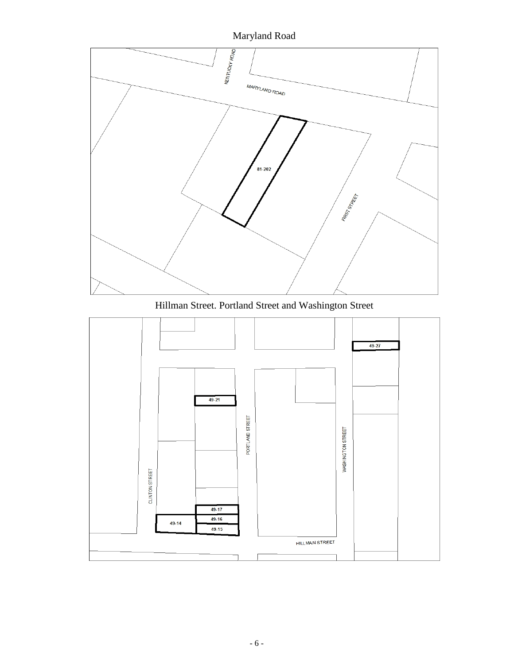

Hillman Street. Portland Street and Washington Street

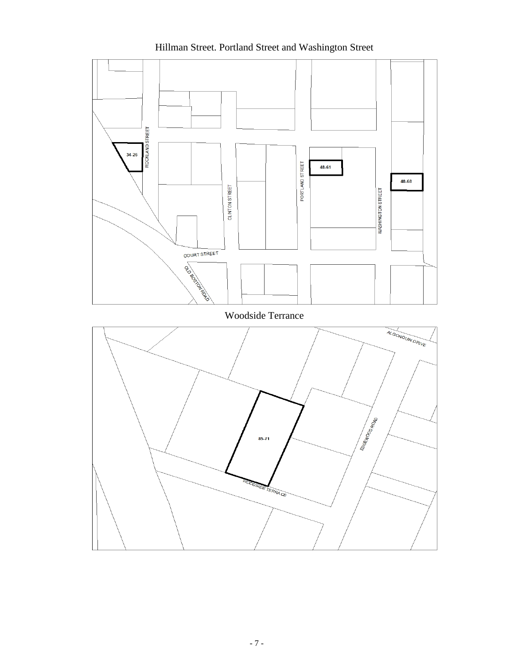# Hillman Street. Portland Street and Washington Street



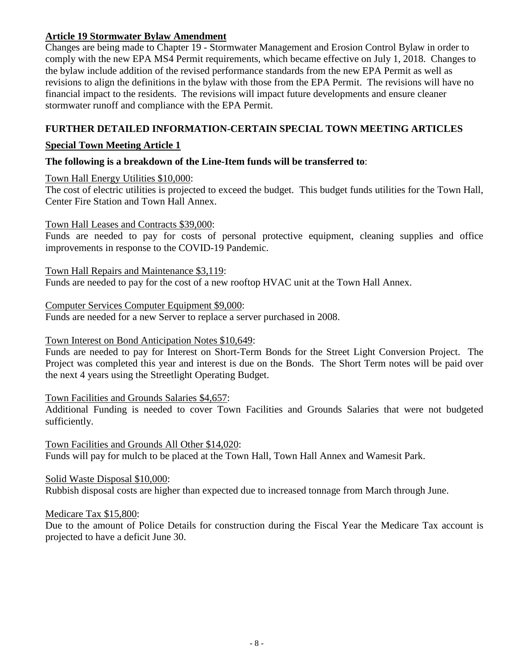#### **Article 19 Stormwater Bylaw Amendment**

Changes are being made to Chapter 19 - Stormwater Management and Erosion Control Bylaw in order to comply with the new EPA MS4 Permit requirements, which became effective on July 1, 2018. Changes to the bylaw include addition of the revised performance standards from the new EPA Permit as well as revisions to align the definitions in the bylaw with those from the EPA Permit. The revisions will have no financial impact to the residents. The revisions will impact future developments and ensure cleaner stormwater runoff and compliance with the EPA Permit.

## **FURTHER DETAILED INFORMATION-CERTAIN SPECIAL TOWN MEETING ARTICLES**

## **Special Town Meeting Article 1**

## **The following is a breakdown of the Line-Item funds will be transferred to**:

Town Hall Energy Utilities \$10,000:

The cost of electric utilities is projected to exceed the budget. This budget funds utilities for the Town Hall, Center Fire Station and Town Hall Annex.

#### Town Hall Leases and Contracts \$39,000:

Funds are needed to pay for costs of personal protective equipment, cleaning supplies and office improvements in response to the COVID-19 Pandemic.

Town Hall Repairs and Maintenance \$3,119: Funds are needed to pay for the cost of a new rooftop HVAC unit at the Town Hall Annex.

#### Computer Services Computer Equipment \$9,000:

Funds are needed for a new Server to replace a server purchased in 2008.

#### Town Interest on Bond Anticipation Notes \$10,649:

Funds are needed to pay for Interest on Short-Term Bonds for the Street Light Conversion Project. The Project was completed this year and interest is due on the Bonds. The Short Term notes will be paid over the next 4 years using the Streetlight Operating Budget.

#### Town Facilities and Grounds Salaries \$4,657:

Additional Funding is needed to cover Town Facilities and Grounds Salaries that were not budgeted sufficiently.

Town Facilities and Grounds All Other \$14,020:

Funds will pay for mulch to be placed at the Town Hall, Town Hall Annex and Wamesit Park.

#### Solid Waste Disposal \$10,000:

Rubbish disposal costs are higher than expected due to increased tonnage from March through June.

#### Medicare Tax \$15,800:

Due to the amount of Police Details for construction during the Fiscal Year the Medicare Tax account is projected to have a deficit June 30.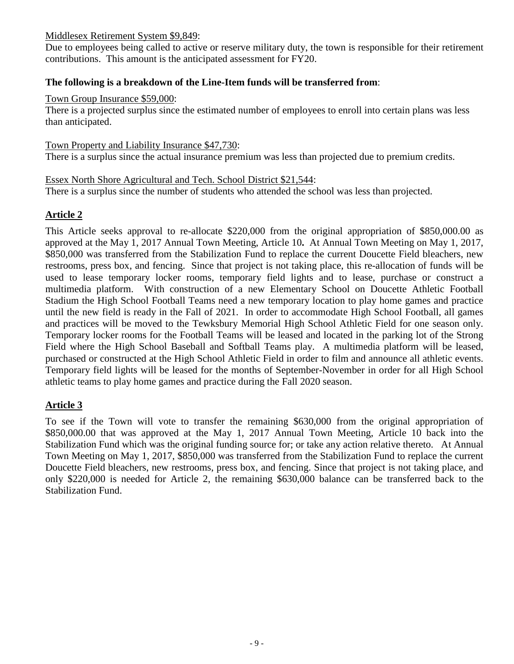#### Middlesex Retirement System \$9,849:

Due to employees being called to active or reserve military duty, the town is responsible for their retirement contributions. This amount is the anticipated assessment for FY20.

#### **The following is a breakdown of the Line-Item funds will be transferred from**:

#### Town Group Insurance \$59,000:

There is a projected surplus since the estimated number of employees to enroll into certain plans was less than anticipated.

#### Town Property and Liability Insurance \$47,730:

There is a surplus since the actual insurance premium was less than projected due to premium credits.

#### Essex North Shore Agricultural and Tech. School District \$21,544:

There is a surplus since the number of students who attended the school was less than projected.

## **Article 2**

This Article seeks approval to re-allocate \$220,000 from the original appropriation of \$850,000.00 as approved at the May 1, 2017 Annual Town Meeting, Article 10**.** At Annual Town Meeting on May 1, 2017, \$850,000 was transferred from the Stabilization Fund to replace the current Doucette Field bleachers, new restrooms, press box, and fencing. Since that project is not taking place, this re-allocation of funds will be used to lease temporary locker rooms, temporary field lights and to lease, purchase or construct a multimedia platform. With construction of a new Elementary School on Doucette Athletic Football Stadium the High School Football Teams need a new temporary location to play home games and practice until the new field is ready in the Fall of 2021. In order to accommodate High School Football, all games and practices will be moved to the Tewksbury Memorial High School Athletic Field for one season only. Temporary locker rooms for the Football Teams will be leased and located in the parking lot of the Strong Field where the High School Baseball and Softball Teams play. A multimedia platform will be leased, purchased or constructed at the High School Athletic Field in order to film and announce all athletic events. Temporary field lights will be leased for the months of September-November in order for all High School athletic teams to play home games and practice during the Fall 2020 season.

## **Article 3**

To see if the Town will vote to transfer the remaining \$630,000 from the original appropriation of \$850,000.00 that was approved at the May 1, 2017 Annual Town Meeting, Article 10 back into the Stabilization Fund which was the original funding source for; or take any action relative thereto. At Annual Town Meeting on May 1, 2017, \$850,000 was transferred from the Stabilization Fund to replace the current Doucette Field bleachers, new restrooms, press box, and fencing. Since that project is not taking place, and only \$220,000 is needed for Article 2, the remaining \$630,000 balance can be transferred back to the Stabilization Fund.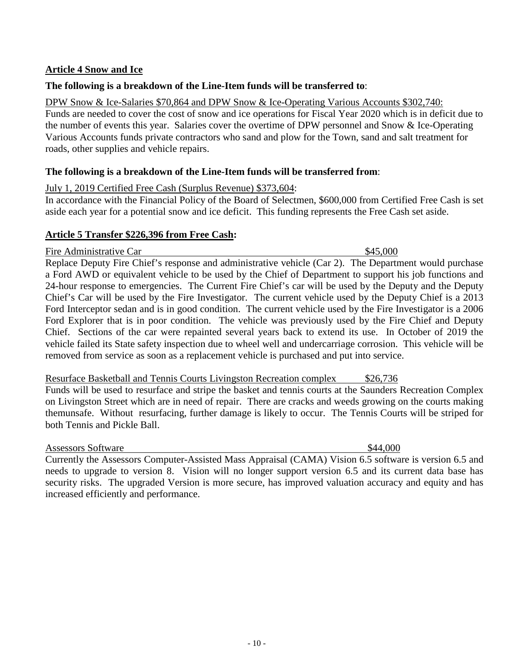## **Article 4 Snow and Ice**

#### **The following is a breakdown of the Line-Item funds will be transferred to**:

DPW Snow & Ice-Salaries \$70,864 and DPW Snow & Ice-Operating Various Accounts \$302,740: Funds are needed to cover the cost of snow and ice operations for Fiscal Year 2020 which is in deficit due to the number of events this year. Salaries cover the overtime of DPW personnel and Snow & Ice-Operating Various Accounts funds private contractors who sand and plow for the Town, sand and salt treatment for roads, other supplies and vehicle repairs.

#### **The following is a breakdown of the Line-Item funds will be transferred from**:

## July 1, 2019 Certified Free Cash (Surplus Revenue) \$373,604:

In accordance with the Financial Policy of the Board of Selectmen, \$600,000 from Certified Free Cash is set aside each year for a potential snow and ice deficit. This funding represents the Free Cash set aside.

## **Article 5 Transfer \$226,396 from Free Cash:**

Fire Administrative Car  $\frac{$45,000}{25}$ 

Replace Deputy Fire Chief's response and administrative vehicle (Car 2). The Department would purchase a Ford AWD or equivalent vehicle to be used by the Chief of Department to support his job functions and 24-hour response to emergencies. The Current Fire Chief's car will be used by the Deputy and the Deputy Chief's Car will be used by the Fire Investigator. The current vehicle used by the Deputy Chief is a 2013 Ford Interceptor sedan and is in good condition. The current vehicle used by the Fire Investigator is a 2006 Ford Explorer that is in poor condition. The vehicle was previously used by the Fire Chief and Deputy Chief. Sections of the car were repainted several years back to extend its use. In October of 2019 the vehicle failed its State safety inspection due to wheel well and undercarriage corrosion. This vehicle will be removed from service as soon as a replacement vehicle is purchased and put into service.

## Resurface Basketball and Tennis Courts Livingston Recreation complex \$26,736

Funds will be used to resurface and stripe the basket and tennis courts at the Saunders Recreation Complex on Livingston Street which are in need of repair. There are cracks and weeds growing on the courts making themunsafe. Without resurfacing, further damage is likely to occur. The Tennis Courts will be striped for both Tennis and Pickle Ball.

#### Assessors Software  $\frac{1}{44,000}$

Currently the Assessors Computer-Assisted Mass Appraisal (CAMA) Vision 6.5 software is version 6.5 and needs to upgrade to version 8. Vision will no longer support version 6.5 and its current data base has security risks. The upgraded Version is more secure, has improved valuation accuracy and equity and has increased efficiently and performance.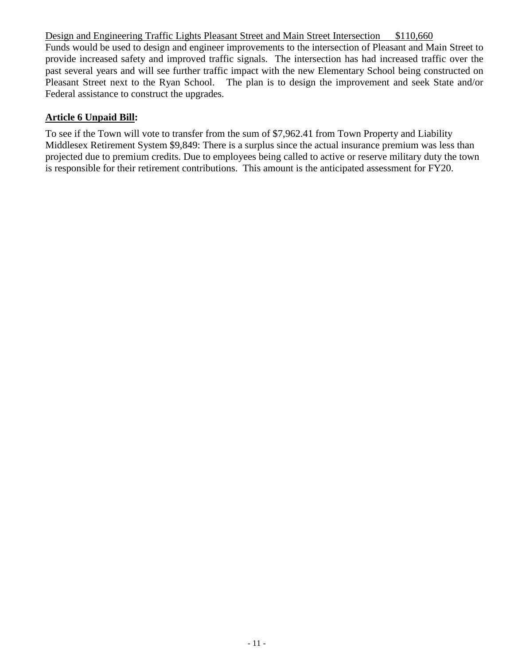Design and Engineering Traffic Lights Pleasant Street and Main Street Intersection \$110,660 Funds would be used to design and engineer improvements to the intersection of Pleasant and Main Street to provide increased safety and improved traffic signals. The intersection has had increased traffic over the past several years and will see further traffic impact with the new Elementary School being constructed on Pleasant Street next to the Ryan School. The plan is to design the improvement and seek State and/or Federal assistance to construct the upgrades.

## **Article 6 Unpaid Bill:**

To see if the Town will vote to transfer from the sum of \$7,962.41 from Town Property and Liability Middlesex Retirement System \$9,849: There is a surplus since the actual insurance premium was less than projected due to premium credits. Due to employees being called to active or reserve military duty the town is responsible for their retirement contributions. This amount is the anticipated assessment for FY20.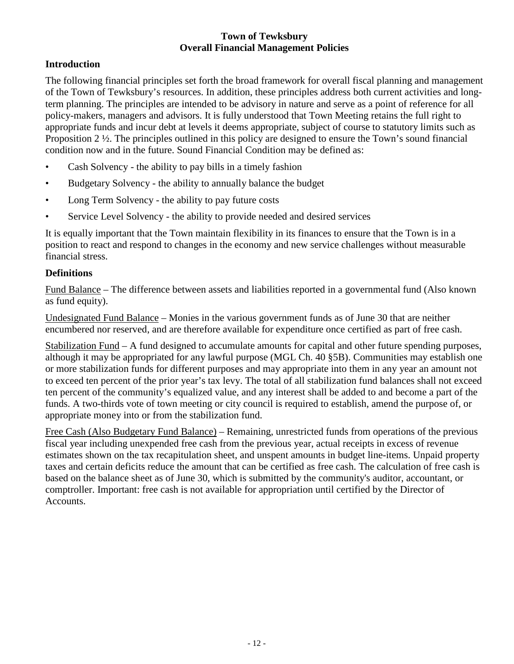#### **Town of Tewksbury Overall Financial Management Policies**

## **Introduction**

The following financial principles set forth the broad framework for overall fiscal planning and management of the Town of Tewksbury's resources. In addition, these principles address both current activities and longterm planning. The principles are intended to be advisory in nature and serve as a point of reference for all policy-makers, managers and advisors. It is fully understood that Town Meeting retains the full right to appropriate funds and incur debt at levels it deems appropriate, subject of course to statutory limits such as Proposition 2 ½. The principles outlined in this policy are designed to ensure the Town's sound financial condition now and in the future. Sound Financial Condition may be defined as:

- Cash Solvency the ability to pay bills in a timely fashion
- Budgetary Solvency the ability to annually balance the budget
- Long Term Solvency the ability to pay future costs
- Service Level Solvency the ability to provide needed and desired services

It is equally important that the Town maintain flexibility in its finances to ensure that the Town is in a position to react and respond to changes in the economy and new service challenges without measurable financial stress.

#### **Definitions**

Fund Balance – The difference between assets and liabilities reported in a governmental fund (Also known as fund equity).

Undesignated Fund Balance – Monies in the various government funds as of June 30 that are neither encumbered nor reserved, and are therefore available for expenditure once certified as part of free cash.

Stabilization Fund – A fund designed to accumulate amounts for capital and other future spending purposes, although it may be appropriated for any lawful purpose (MGL Ch. 40 §5B). Communities may establish one or more stabilization funds for different purposes and may appropriate into them in any year an amount not to exceed ten percent of the prior year's tax levy. The total of all stabilization fund balances shall not exceed ten percent of the community's equalized value, and any interest shall be added to and become a part of the funds. A two-thirds vote of town meeting or city council is required to establish, amend the purpose of, or appropriate money into or from the stabilization fund.

Free Cash (Also Budgetary Fund Balance) – Remaining, unrestricted funds from operations of the previous fiscal year including unexpended free cash from the previous year, actual receipts in excess of revenue estimates shown on the tax recapitulation sheet, and unspent amounts in budget line-items. Unpaid property taxes and certain deficits reduce the amount that can be certified as free cash. The calculation of free cash is based on the balance sheet as of June 30, which is submitted by the community's auditor, accountant, or comptroller. Important: free cash is not available for appropriation until certified by the Director of Accounts.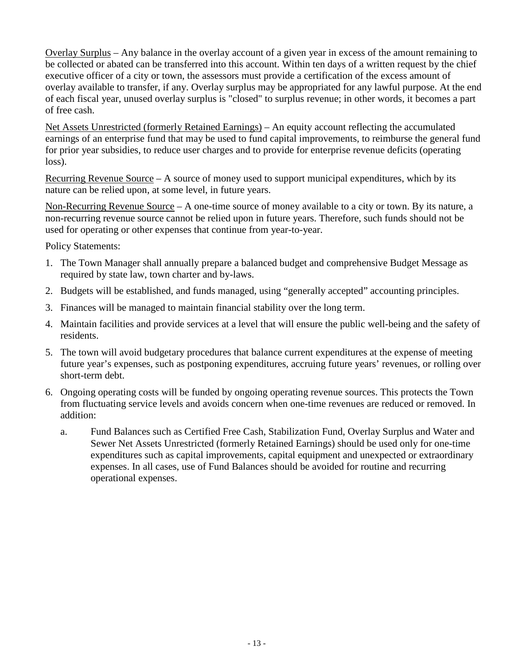Overlay Surplus – Any balance in the overlay account of a given year in excess of the amount remaining to be collected or abated can be transferred into this account. Within ten days of a written request by the chief executive officer of a city or town, the assessors must provide a certification of the excess amount of overlay available to transfer, if any. Overlay surplus may be appropriated for any lawful purpose. At the end of each fiscal year, unused overlay surplus is "closed" to surplus revenue; in other words, it becomes a part of free cash.

Net Assets Unrestricted (formerly Retained Earnings) – An equity account reflecting the accumulated earnings of an enterprise fund that may be used to fund capital improvements, to reimburse the general fund for prior year subsidies, to reduce user charges and to provide for enterprise revenue deficits (operating loss).

Recurring Revenue Source – A source of money used to support municipal expenditures, which by its nature can be relied upon, at some level, in future years.

Non-Recurring Revenue Source – A one-time source of money available to a city or town. By its nature, a non-recurring revenue source cannot be relied upon in future years. Therefore, such funds should not be used for operating or other expenses that continue from year-to-year.

Policy Statements:

- 1. The Town Manager shall annually prepare a balanced budget and comprehensive Budget Message as required by state law, town charter and by-laws.
- 2. Budgets will be established, and funds managed, using "generally accepted" accounting principles.
- 3. Finances will be managed to maintain financial stability over the long term.
- 4. Maintain facilities and provide services at a level that will ensure the public well-being and the safety of residents.
- 5. The town will avoid budgetary procedures that balance current expenditures at the expense of meeting future year's expenses, such as postponing expenditures, accruing future years' revenues, or rolling over short-term debt.
- 6. Ongoing operating costs will be funded by ongoing operating revenue sources. This protects the Town from fluctuating service levels and avoids concern when one-time revenues are reduced or removed. In addition:
	- a. Fund Balances such as Certified Free Cash, Stabilization Fund, Overlay Surplus and Water and Sewer Net Assets Unrestricted (formerly Retained Earnings) should be used only for one-time expenditures such as capital improvements, capital equipment and unexpected or extraordinary expenses. In all cases, use of Fund Balances should be avoided for routine and recurring operational expenses.